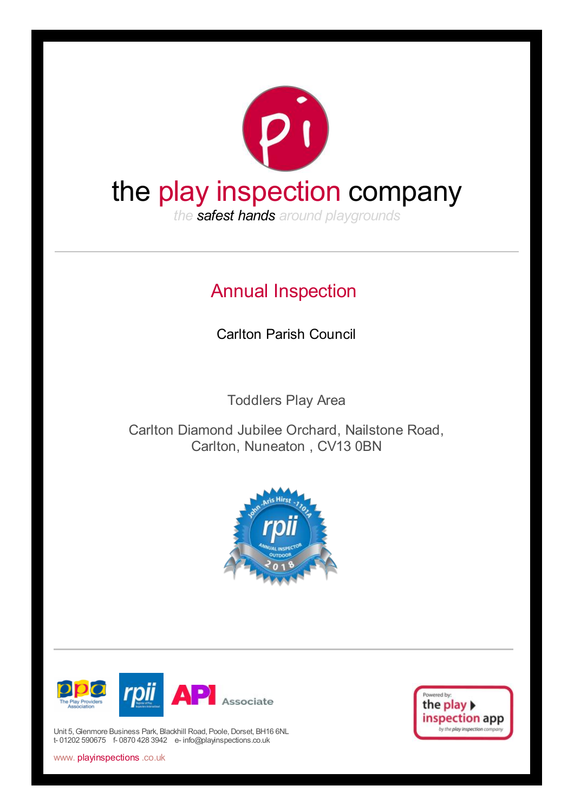

# Annual Inspection

Carlton Parish Council

Toddlers Play Area

Carlton Diamond Jubilee Orchard, Nailstone Road, Carlton, Nuneaton , CV13 0BN





Unit 5, Glenmore Business Park, Blackhill Road, Poole, Dorset, BH16 6NL t- 01202 590675 f- 0870 428 3942 e- info@playinspections.co.uk



www. playinspections .co.uk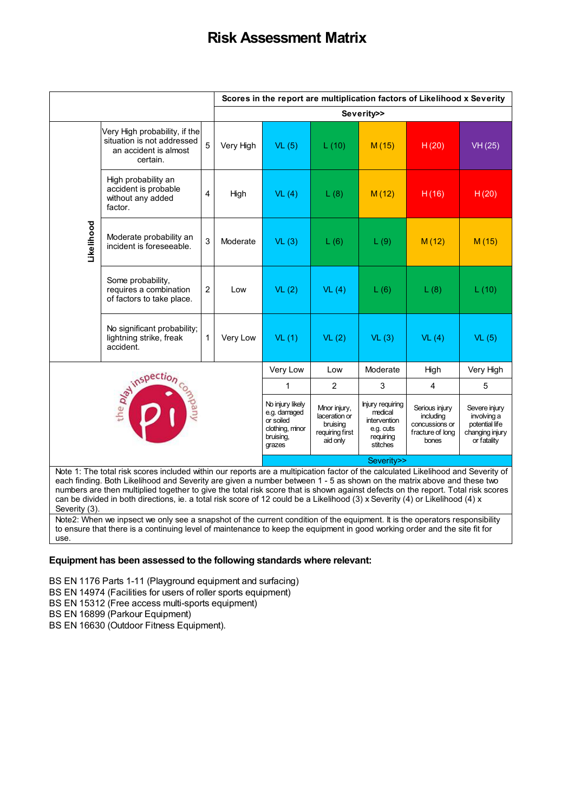# **Risk Assessment Matrix**

|                                                                                                                             | Scores in the report are multiplication factors of Likelihood x Severity                                                                                                                                                                                                                                                                                                                                                                                                                                                        |                |            |                                                                                         |                                                                          |                                                                                   |                                                                            |                                                                                  |
|-----------------------------------------------------------------------------------------------------------------------------|---------------------------------------------------------------------------------------------------------------------------------------------------------------------------------------------------------------------------------------------------------------------------------------------------------------------------------------------------------------------------------------------------------------------------------------------------------------------------------------------------------------------------------|----------------|------------|-----------------------------------------------------------------------------------------|--------------------------------------------------------------------------|-----------------------------------------------------------------------------------|----------------------------------------------------------------------------|----------------------------------------------------------------------------------|
|                                                                                                                             |                                                                                                                                                                                                                                                                                                                                                                                                                                                                                                                                 |                | Severity>> |                                                                                         |                                                                          |                                                                                   |                                                                            |                                                                                  |
|                                                                                                                             | Very High probability, if the<br>situation is not addressed<br>an accident is almost<br>certain.                                                                                                                                                                                                                                                                                                                                                                                                                                | 5              | Very High  | VL(5)                                                                                   | L(10)                                                                    | M(15)                                                                             | H(20)                                                                      | VH(25)                                                                           |
|                                                                                                                             | High probability an<br>accident is probable<br>without any added<br>factor.                                                                                                                                                                                                                                                                                                                                                                                                                                                     | $\overline{4}$ | High       | VL(4)                                                                                   | L(8)                                                                     | M(12)                                                                             | H(16)                                                                      | H(20)                                                                            |
| Likelihood                                                                                                                  | Moderate probability an<br>incident is foreseeable.                                                                                                                                                                                                                                                                                                                                                                                                                                                                             | 3              | Moderate   | VL(3)                                                                                   | L(6)                                                                     | L(9)                                                                              | M(12)                                                                      | M(15)                                                                            |
|                                                                                                                             | Some probability,<br>requires a combination<br>of factors to take place.                                                                                                                                                                                                                                                                                                                                                                                                                                                        | $\overline{c}$ | Low        | VL(2)                                                                                   | VL(4)                                                                    | L(6)                                                                              | L(8)                                                                       | L(10)                                                                            |
|                                                                                                                             | No significant probability;<br>lightning strike, freak<br>accident.                                                                                                                                                                                                                                                                                                                                                                                                                                                             | 1              | Very Low   | VL(1)                                                                                   | VL(2)                                                                    | VL(3)                                                                             | VL(4)                                                                      | VL(5)                                                                            |
|                                                                                                                             |                                                                                                                                                                                                                                                                                                                                                                                                                                                                                                                                 |                |            | Very Low                                                                                | Low                                                                      | Moderate                                                                          | High                                                                       | Very High                                                                        |
|                                                                                                                             |                                                                                                                                                                                                                                                                                                                                                                                                                                                                                                                                 |                |            | 1                                                                                       | $\overline{2}$                                                           | 3                                                                                 | 4                                                                          | 5                                                                                |
| <b>Agy inspection</b><br>Vany                                                                                               |                                                                                                                                                                                                                                                                                                                                                                                                                                                                                                                                 |                |            | No injury likely<br>e.g. damaged<br>or soiled<br>clothing, minor<br>bruising,<br>grazes | Mnor injury,<br>laceration or<br>bruising<br>requiring first<br>aid only | Injury requiring<br>medical<br>intervention<br>e.g. cuts<br>requiring<br>stitches | Serious injury<br>including<br>concussions or<br>fracture of long<br>bones | Severe injury<br>involving a<br>potential life<br>changing injury<br>or fatality |
|                                                                                                                             |                                                                                                                                                                                                                                                                                                                                                                                                                                                                                                                                 |                |            |                                                                                         |                                                                          | Severity>>                                                                        |                                                                            |                                                                                  |
| Severity (3).                                                                                                               | Note 1: The total risk scores included within our reports are a multipication factor of the calculated Likelihood and Severity of<br>each finding. Both Likelihood and Severity are given a number between 1 - 5 as shown on the matrix above and these two<br>numbers are then multiplied together to give the total risk score that is shown against defects on the report. Total risk scores<br>can be divided in both directions, ie. a total risk score of 12 could be a Likelihood (3) x Severity (4) or Likelihood (4) x |                |            |                                                                                         |                                                                          |                                                                                   |                                                                            |                                                                                  |
| use.                                                                                                                        | Note2: When we inpsect we only see a snapshot of the current condition of the equipment. It is the operators responsibility<br>to ensure that there is a continuing level of maintenance to keep the equipment in good working order and the site fit for                                                                                                                                                                                                                                                                       |                |            |                                                                                         |                                                                          |                                                                                   |                                                                            |                                                                                  |
|                                                                                                                             | Equipment has been assessed to the following standards where relevant:                                                                                                                                                                                                                                                                                                                                                                                                                                                          |                |            |                                                                                         |                                                                          |                                                                                   |                                                                            |                                                                                  |
|                                                                                                                             |                                                                                                                                                                                                                                                                                                                                                                                                                                                                                                                                 |                |            |                                                                                         |                                                                          |                                                                                   |                                                                            |                                                                                  |
| BS EN 1176 Parts 1-11 (Playground equipment and surfacing)<br>BS EN 14974 (Facilities for users of roller sports equipment) |                                                                                                                                                                                                                                                                                                                                                                                                                                                                                                                                 |                |            |                                                                                         |                                                                          |                                                                                   |                                                                            |                                                                                  |
|                                                                                                                             | BS EN 15312 (Free access multi-sports equipment)                                                                                                                                                                                                                                                                                                                                                                                                                                                                                |                |            |                                                                                         |                                                                          |                                                                                   |                                                                            |                                                                                  |
|                                                                                                                             | BS EN 16899 (Parkour Equipment)<br>BS EN 16630 (Outdoor Fitness Equipment).                                                                                                                                                                                                                                                                                                                                                                                                                                                     |                |            |                                                                                         |                                                                          |                                                                                   |                                                                            |                                                                                  |

#### **Equipment has been assessed to the following standards where relevant:**

- BS EN 14974 (Facilities for users of roller sports equipment)
- BS EN 15312 (Free access multi-sports equipment)
- BS EN 16899 (Parkour Equipment)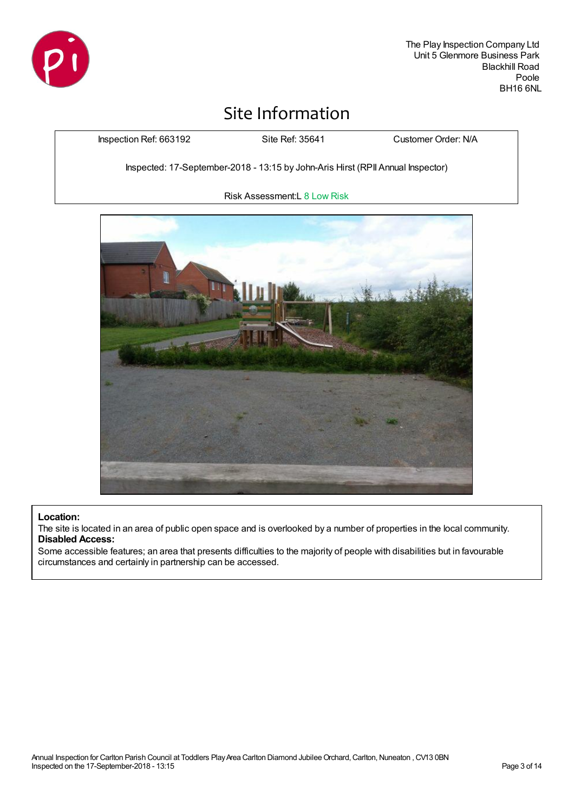

# Site Information

Inspection Ref: 663192 Site Ref: 35641 Customer Order: N/A

Inspected: 17-September-2018 - 13:15 by John-Aris Hirst (RPII Annual Inspector)

Risk Assessment:L 8 Low Risk



#### **Location:**

The site is located in an area of public open space and is overlooked by a number of properties in the local community. **Disabled Access:**

Some accessible features; an area that presents difficulties to the majority of people with disabilities but in favourable circumstances and certainly in partnership can be accessed.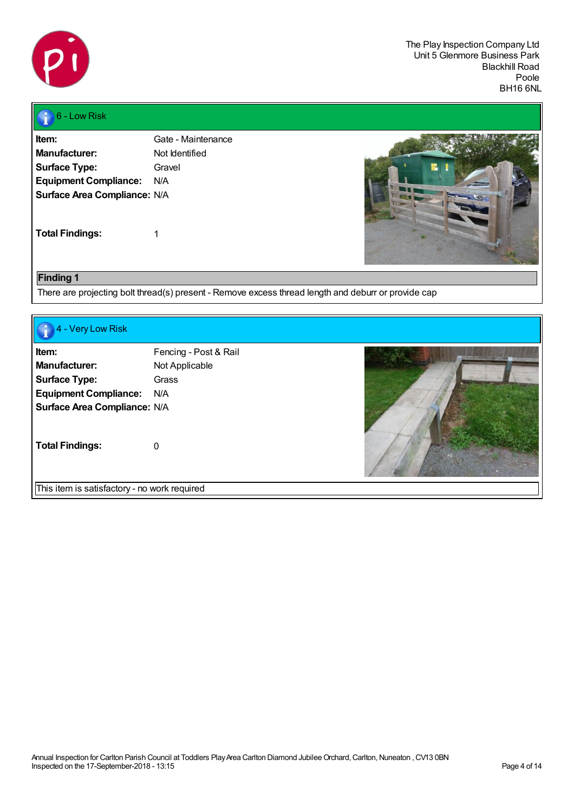

#### 6 - Low Risk

| ltem:                        | Gate - Maintenance |
|------------------------------|--------------------|
| Manufacturer:                | Not Identified     |
| <b>Surface Type:</b>         | Gravel             |
| <b>Equipment Compliance:</b> | N/A                |
| Surface Area Compliance: N/A |                    |
|                              |                    |
|                              |                    |

**Total Findings:** 1



#### **Finding 1**

There are projecting bolt thread(s) present - Remove excess thread length and deburr or provide cap

| 4 - Very Low Risk                                                                                                     |                                                         |  |
|-----------------------------------------------------------------------------------------------------------------------|---------------------------------------------------------|--|
| Item:<br><b>Manufacturer:</b><br><b>Surface Type:</b><br><b>Equipment Compliance:</b><br>Surface Area Compliance: N/A | Fencing - Post & Rail<br>Not Applicable<br>Grass<br>N/A |  |
| <b>Total Findings:</b>                                                                                                | $\Omega$                                                |  |
| This item is satisfactory - no work required                                                                          |                                                         |  |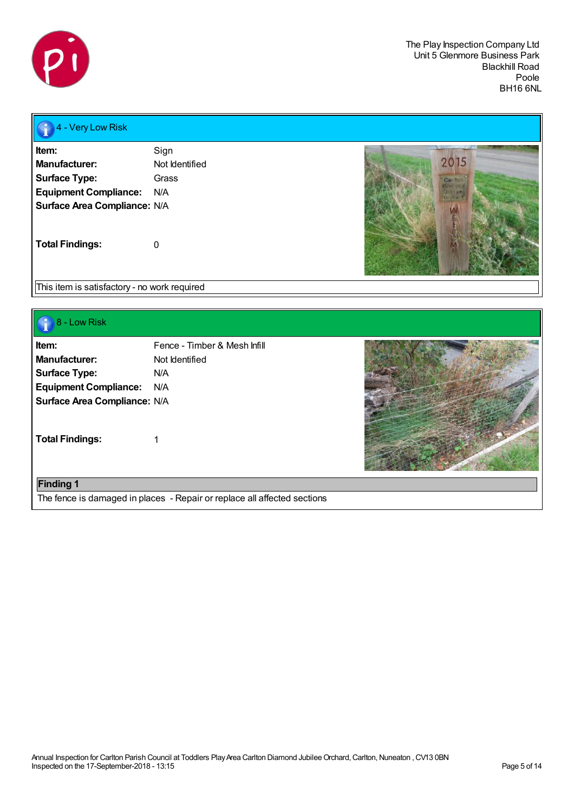

# **4** - Very Low Risk

| ltem:                               | Sign           |
|-------------------------------------|----------------|
| Manufacturer:                       | Not Identified |
| <b>Surface Type:</b>                | Grass          |
| <b>Equipment Compliance:</b>        | N/A            |
| <b>Surface Area Compliance: N/A</b> |                |
| <b>Total Findings:</b>              | O              |



This item is satisfactory - no work required

## 8 - Low Risk

| ltem:                               | Fence - Timber & Mesh Infill |
|-------------------------------------|------------------------------|
| Manufacturer:                       | Not Identified               |
| <b>Surface Type:</b>                | N/A                          |
| <b>Equipment Compliance:</b>        | N/A                          |
| <b>Surface Area Compliance: N/A</b> |                              |
|                                     |                              |
| <b>Total Findings:</b>              | 1                            |



# **Finding 1**

The fence is damaged in places - Repair or replace all affected sections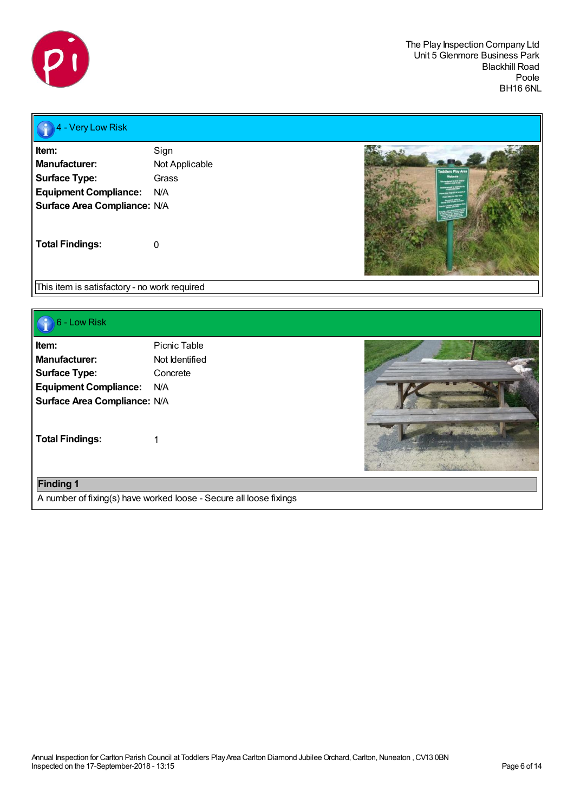

# **4 - Very Low Risk**

| ltem:                        | Sign           |
|------------------------------|----------------|
| Manufacturer:                | Not Applicable |
| <b>Surface Type:</b>         | Grass          |
| <b>Equipment Compliance:</b> | N/A            |
| Surface Area Compliance: N/A |                |
| <b>Total Findings:</b>       | O              |



This item is satisfactory - no work required

# **6** - Low Risk

| رحب                          |                |  |
|------------------------------|----------------|--|
| Item:                        | Picnic Table   |  |
| <b>Manufacturer:</b>         | Not Identified |  |
| <b>Surface Type:</b>         | Concrete       |  |
| <b>Equipment Compliance:</b> | N/A            |  |
| Surface Area Compliance: N/A |                |  |
| <b>Total Findings:</b>       |                |  |
| <b>Finding 1</b>             |                |  |

A number of fixing(s) have worked loose - Secure all loose fixings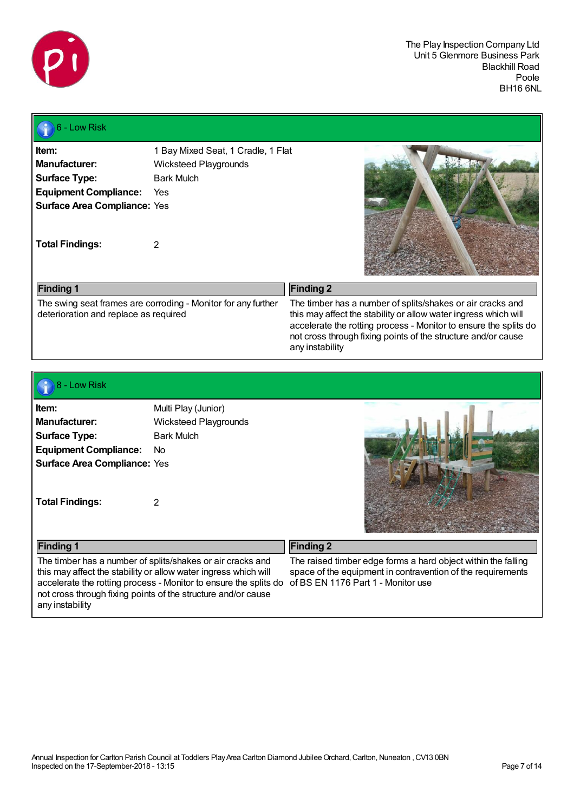

# $\bigcirc$  6 - Low Risk

| Item:                                 | 1 Bay Mixed Seat, 1 Cradle, 1 Flat                            |                                                                                                                                                                                                                                                                    |
|---------------------------------------|---------------------------------------------------------------|--------------------------------------------------------------------------------------------------------------------------------------------------------------------------------------------------------------------------------------------------------------------|
| Manufacturer:                         | Wicksteed Playgrounds                                         |                                                                                                                                                                                                                                                                    |
| <b>Surface Type:</b>                  | <b>Bark Mulch</b>                                             |                                                                                                                                                                                                                                                                    |
| <b>Equipment Compliance:</b>          | Yes                                                           |                                                                                                                                                                                                                                                                    |
| <b>Surface Area Compliance: Yes</b>   |                                                               |                                                                                                                                                                                                                                                                    |
| <b>Total Findings:</b>                |                                                               |                                                                                                                                                                                                                                                                    |
| <b>Finding 1</b>                      |                                                               | <b>Finding 2</b>                                                                                                                                                                                                                                                   |
| deterioration and replace as required | The swing seat frames are corroding - Monitor for any further | The timber has a number of splits/shakes or air cracks and<br>this may affect the stability or allow water ingress which will<br>accelerate the rotting process - Monitor to ensure the splits do<br>not cross through fixing points of the structure and/or cause |

any instability

#### 8 - Low Risk

| ltem:                               | Multi Play (Junior)   |
|-------------------------------------|-----------------------|
| Manufacturer:                       | Wicksteed Playgrounds |
| <b>Surface Type:</b>                | <b>Bark Mulch</b>     |
| <b>Equipment Compliance:</b>        | No                    |
| <b>Surface Area Compliance: Yes</b> |                       |
|                                     |                       |
|                                     |                       |
| <b>Total Findings:</b>              | 2                     |



| <b>Finding 1</b>                                                                                                                                                                                                                                                                                                         | <b>Finding 2</b>                                                                                                             |
|--------------------------------------------------------------------------------------------------------------------------------------------------------------------------------------------------------------------------------------------------------------------------------------------------------------------------|------------------------------------------------------------------------------------------------------------------------------|
| The timber has a number of splits/shakes or air cracks and<br>this may affect the stability or allow water ingress which will<br>accelerate the rotting process - Monitor to ensure the splits do of BS EN 1176 Part 1 - Monitor use<br>not cross through fixing points of the structure and/or cause<br>any instability | The raised timber edge forms a hard object within the falling<br>space of the equipment in contravention of the requirements |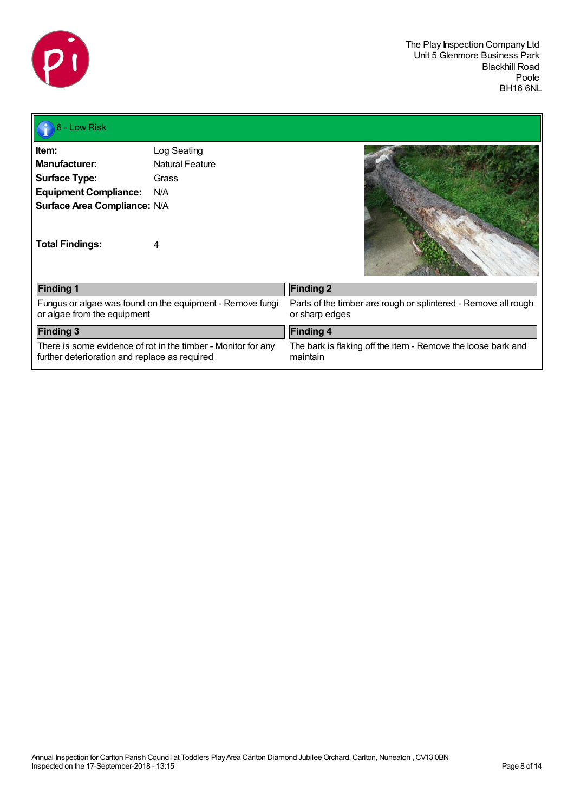

Л

| 6 - Low Risk                                           |                                                               |                                                                                  |
|--------------------------------------------------------|---------------------------------------------------------------|----------------------------------------------------------------------------------|
| Item:                                                  | Log Seating                                                   |                                                                                  |
| <b>Manufacturer:</b>                                   | <b>Natural Feature</b>                                        |                                                                                  |
| <b>Surface Type:</b>                                   | Grass                                                         |                                                                                  |
| <b>Equipment Compliance:</b>                           | N/A                                                           |                                                                                  |
| Surface Area Compliance: N/A<br><b>Total Findings:</b> | 4                                                             |                                                                                  |
| <b>Finding 1</b>                                       |                                                               | <b>Finding 2</b>                                                                 |
| or algae from the equipment                            | Fungus or algae was found on the equipment - Remove fungi     | Parts of the timber are rough or splintered - Remove all rough<br>or sharp edges |
| <b>Finding 3</b>                                       |                                                               | <b>Finding 4</b>                                                                 |
| further deterioration and replace as required          | There is some evidence of rot in the timber - Monitor for any | The bark is flaking off the item - Remove the loose bark and<br>maintain         |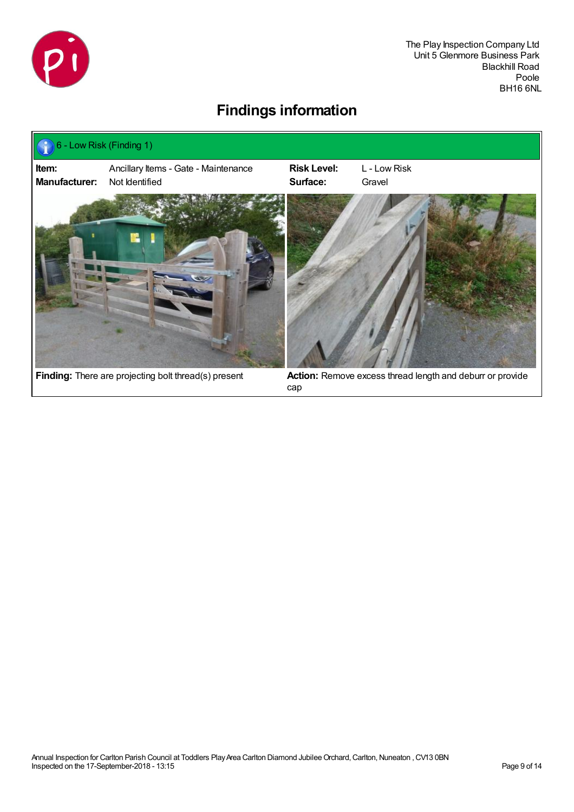

# **Findings information**



cap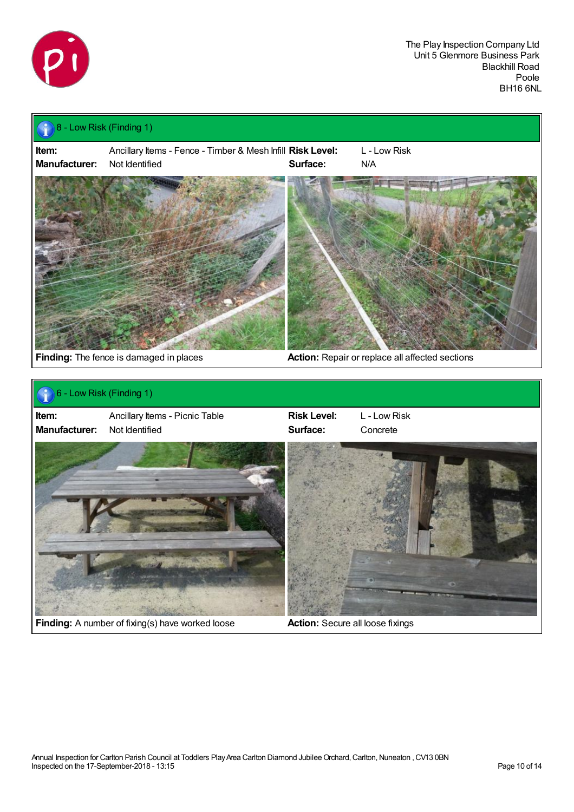

# 8 - Low Risk (Finding 1) **Item:** Ancillary Items - Fence - Timber & Mesh Infill **Risk Level:** L - Low Risk **Manufacturer:** Not Identified **Surface:** N/A **Finding:** The fence is damaged in places **Action:** Repair or replace all affected sections 6 - Low Risk (Finding 1) **Item:** Ancillary Items - Picnic Table **Risk Level:** L - Low Risk **Manufacturer:** Not Identified **Surface:** Concrete **Little Transfer 25 Finding:** A number of fixing(s) have worked loose **Action:** Secure all loose fixings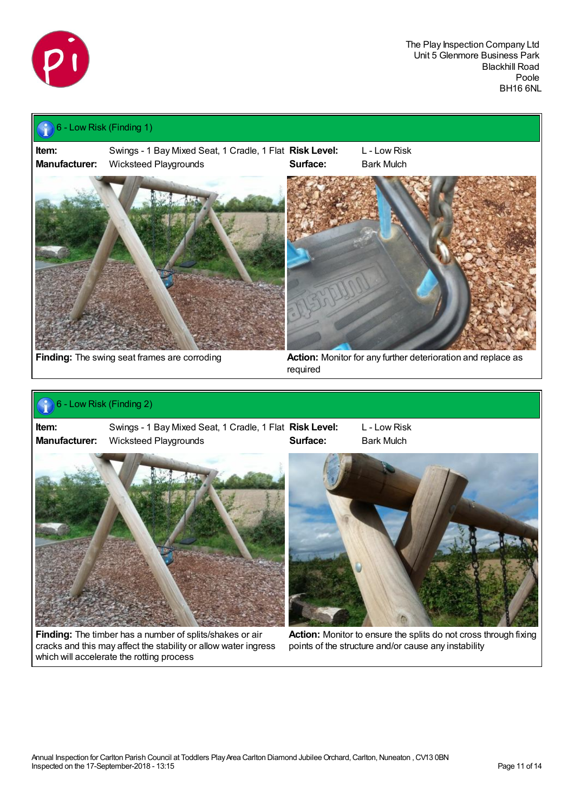

## 6 - Low Risk (Finding 1)

**Item:** Swings - 1 Bay Mixed Seat, 1 Cradle, 1 Flat **Risk Level:** L - Low Risk **Manufacturer:** Wicksteed Playgrounds **Surface:** Bark Mulch



#### 6 - Low Risk (Finding 2) P.

**Item:** Swings - 1 Bay Mixed Seat, 1 Cradle, 1 Flat **Risk Level:** L - Low Risk **Manufacturer:** Wicksteed Playgrounds **Surface:** Bark Mulch





**Finding:** The timber has a number of splits/shakes or air cracks and this may affect the stability or allow water ingress which will accelerate the rotting process



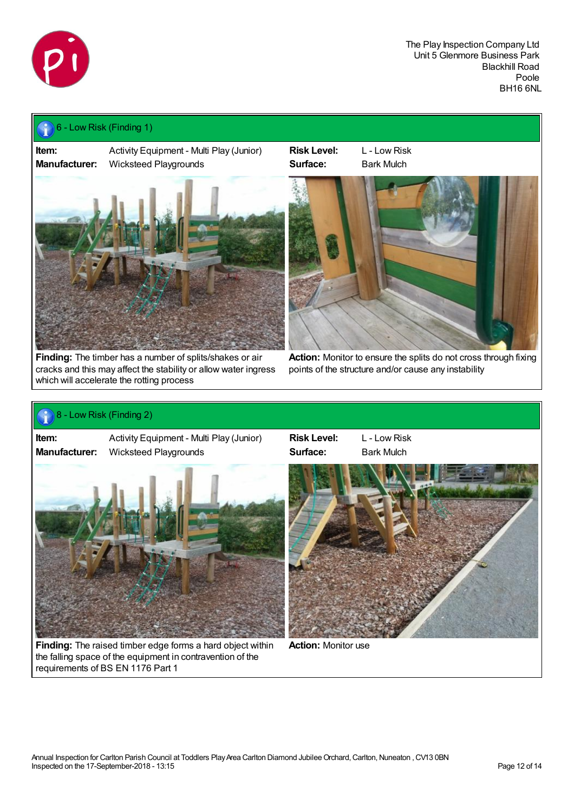

## 6 - Low Risk (Finding 1)

**Item:** Activity Equipment - Multi Play (Junior) **Risk Level:** L - Low Risk **Manufacturer:** Wicksteed Playgrounds **Surface:** Bark Mulch



**Finding:** The timber has a number of splits/shakes or air cracks and this may affect the stability or allow water ingress which will accelerate the rotting process



**Action:** Monitor to ensure the splits do not cross through fixing points of the structure and/or cause any instability

## 8 - Low Risk (Finding 2)

**Item:** Activity Equipment - Multi Play (Junior) **Risk Level:** L - Low Risk **Manufacturer:** Wicksteed Playgrounds **Surface:** Bark Mulch



**Finding:** The raised timber edge forms a hard object within the falling space of the equipment in contravention of the requirements of BS EN 1176 Part 1



**Action:** Monitor use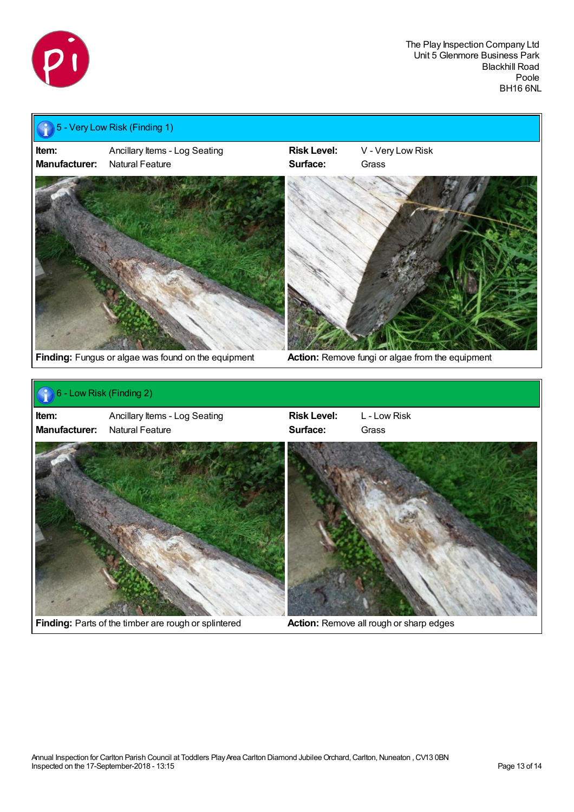

| Item:<br><b>Manufacturer:</b> | Ancillary Items - Log Seating<br>Natural Feature    | <b>Risk Level:</b><br>Surface: | V - Very Low Risk<br>Grass                       |
|-------------------------------|-----------------------------------------------------|--------------------------------|--------------------------------------------------|
|                               | Finding: Fungus or algae was found on the equipment |                                | Action: Remove fungi or algae from the equipment |
|                               |                                                     |                                |                                                  |
|                               | 6 - Low Risk (Finding 2)                            |                                |                                                  |
| Item:                         | Ancillary Items - Log Seating                       | <b>Risk Level:</b>             | L - Low Risk                                     |
| <b>Manufacturer:</b>          | Natural Feature                                     | Surface:                       | Grass                                            |

**Finding:** Parts of the timber are rough or splintered **Action:** Remove all rough or sharp edges